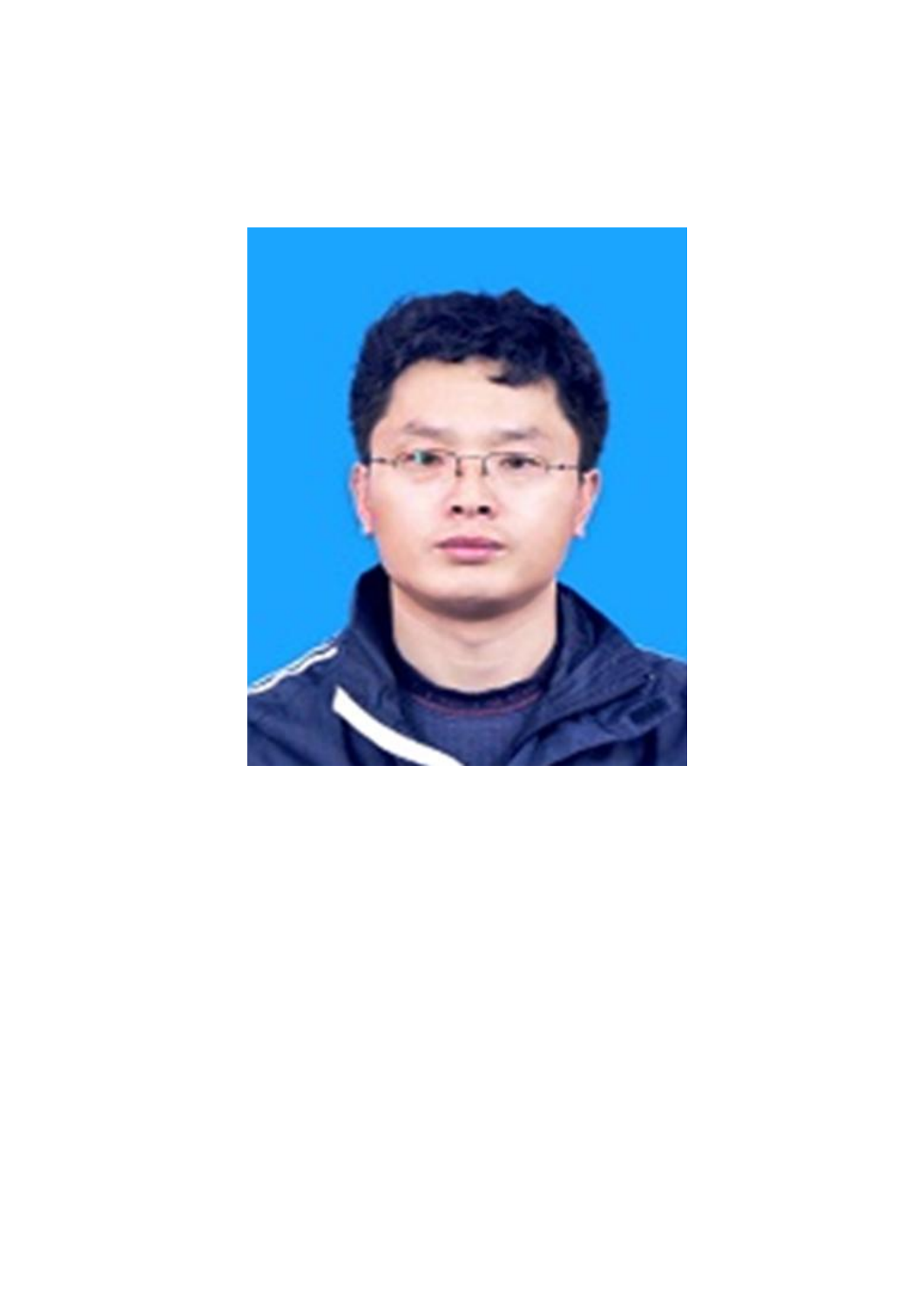